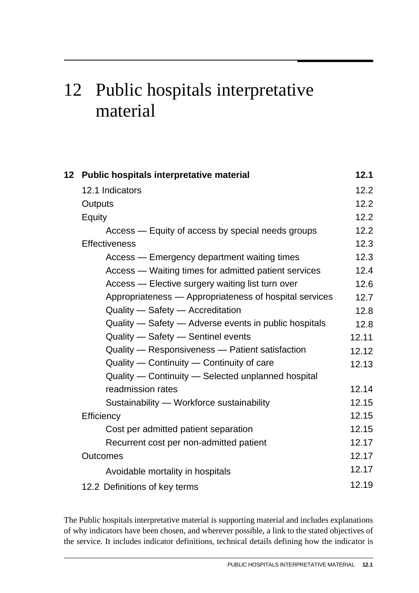# 12 Public hospitals interpretative material

| 12 <sup>12</sup> | Public hospitals interpretative material               | 12.1  |
|------------------|--------------------------------------------------------|-------|
|                  | 12.1 Indicators                                        | 12.2  |
|                  | Outputs                                                | 12.2  |
|                  | Equity                                                 | 12.2  |
|                  | Access — Equity of access by special needs groups      | 12.2  |
|                  | <b>Effectiveness</b>                                   | 12.3  |
|                  | Access — Emergency department waiting times            | 12.3  |
|                  | Access — Waiting times for admitted patient services   | 12.4  |
|                  | Access — Elective surgery waiting list turn over       | 12.6  |
|                  | Appropriateness - Appropriateness of hospital services | 12.7  |
|                  | Quality - Safety - Accreditation                       | 12.8  |
|                  | Quality - Safety - Adverse events in public hospitals  | 12.8  |
|                  | Quality - Safety - Sentinel events                     | 12.11 |
|                  | Quality - Responsiveness - Patient satisfaction        | 12.12 |
|                  | Quality - Continuity - Continuity of care              | 12.13 |
|                  | Quality — Continuity — Selected unplanned hospital     |       |
|                  | readmission rates                                      | 12.14 |
|                  | Sustainability - Workforce sustainability              | 12.15 |
|                  | Efficiency                                             | 12.15 |
|                  | Cost per admitted patient separation                   | 12.15 |
|                  | Recurrent cost per non-admitted patient                | 12.17 |
|                  | <b>Outcomes</b>                                        | 12.17 |
|                  | Avoidable mortality in hospitals                       | 12.17 |
|                  | 12.2 Definitions of key terms                          | 12.19 |

The Public hospitals interpretative material is supporting material and includes explanations of why indicators have been chosen, and wherever possible, a link to the stated objectives of the service. It includes indicator definitions, technical details defining how the indicator is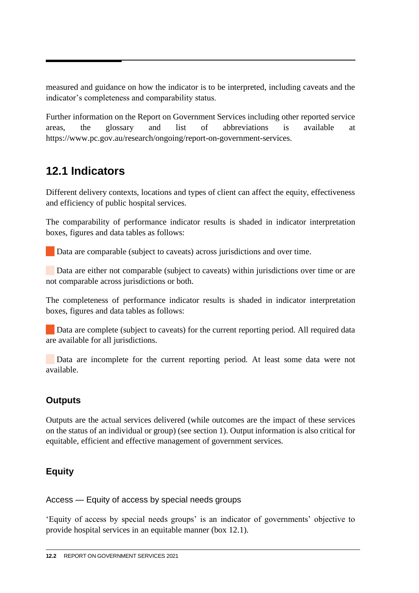<span id="page-1-0"></span>measured and guidance on how the indicator is to be interpreted, including caveats and the indicator's completeness and comparability status.

Further information on the Report on Government Services including other reported service areas, the glossary and list of abbreviations is available at https://www.pc.gov.au/research/ongoing/report-on-government-services.

# **12.1 Indicators**

Different delivery contexts, locations and types of client can affect the equity, effectiveness and efficiency of public hospital services.

The comparability of performance indicator results is shaded in indicator interpretation boxes, figures and data tables as follows:

Data are comparable (subject to caveats) across jurisdictions and over time.

Data are either not comparable (subject to caveats) within jurisdictions over time or are not comparable across jurisdictions or both.

The completeness of performance indicator results is shaded in indicator interpretation boxes, figures and data tables as follows:

Data are complete (subject to caveats) for the current reporting period. All required data are available for all jurisdictions.

 Data are incomplete for the current reporting period. At least some data were not available.

# **Outputs**

Outputs are the actual services delivered (while outcomes are the impact of these services on the status of an individual or group) (see section 1). Output information is also critical for equitable, efficient and effective management of government services.

# **Equity**

Access — Equity of access by special needs groups

'Equity of access by special needs groups' is an indicator of governments' objective to provide hospital services in an equitable manner (box 12.1).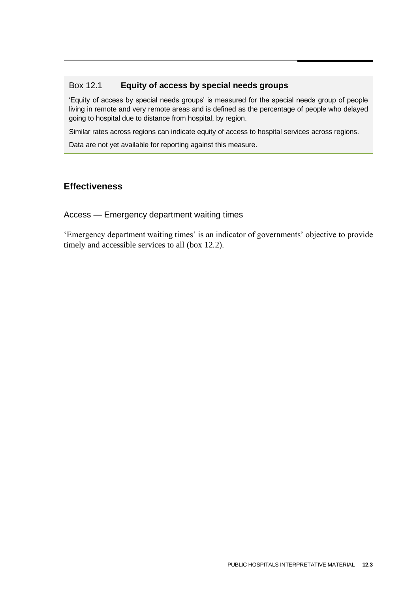#### <span id="page-2-0"></span>Box 12.1 **Equity of access by special needs groups**

'Equity of access by special needs groups' is measured for the special needs group of people living in remote and very remote areas and is defined as the percentage of people who delayed going to hospital due to distance from hospital, by region.

Similar rates across regions can indicate equity of access to hospital services across regions.

Data are not yet available for reporting against this measure.

#### **Effectiveness**

#### Access — Emergency department waiting times

'Emergency department waiting times' is an indicator of governments' objective to provide timely and accessible services to all (box 12.2).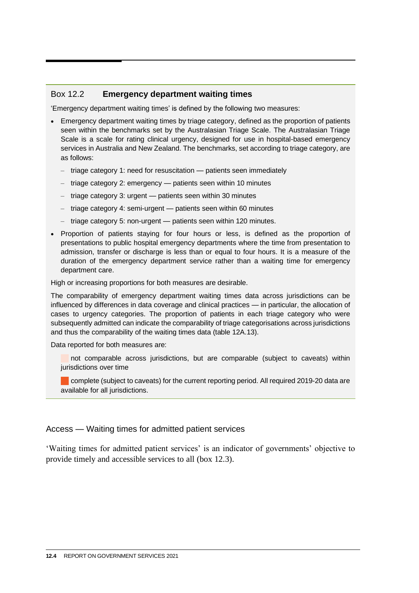#### <span id="page-3-0"></span>Box 12.2 **Emergency department waiting times**

'Emergency department waiting times' is defined by the following two measures:

- Emergency department waiting times by triage category, defined as the proportion of patients seen within the benchmarks set by the Australasian Triage Scale. The Australasian Triage Scale is a scale for rating clinical urgency, designed for use in hospital-based emergency services in Australia and New Zealand. The benchmarks, set according to triage category, are as follows:
	- triage category 1: need for resuscitation patients seen immediately
	- triage category 2: emergency patients seen within 10 minutes
	- triage category 3: urgent patients seen within 30 minutes
	- triage category 4: semi-urgent patients seen within 60 minutes
	- triage category 5: non-urgent patients seen within 120 minutes.
- Proportion of patients staying for four hours or less, is defined as the proportion of presentations to public hospital emergency departments where the time from presentation to admission, transfer or discharge is less than or equal to four hours. It is a measure of the duration of the emergency department service rather than a waiting time for emergency department care.

High or increasing proportions for both measures are desirable.

The comparability of emergency department waiting times data across jurisdictions can be influenced by differences in data coverage and clinical practices — in particular, the allocation of cases to urgency categories. The proportion of patients in each triage category who were subsequently admitted can indicate the comparability of triage categorisations across jurisdictions and thus the comparability of the waiting times data (table 12A.13).

Data reported for both measures are:

not comparable across jurisdictions, but are comparable (subject to caveats) within jurisdictions over time

complete (subject to caveats) for the current reporting period. All required 2019-20 data are available for all jurisdictions.

#### Access — Waiting times for admitted patient services

'Waiting times for admitted patient services' is an indicator of governments' objective to provide timely and accessible services to all (box 12.3).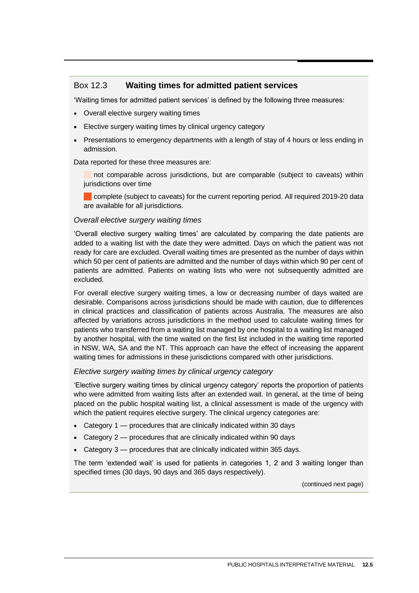#### Box 12.3 **Waiting times for admitted patient services**

'Waiting times for admitted patient services' is defined by the following three measures:

- Overall elective surgery waiting times
- Elective surgery waiting times by clinical urgency category
- Presentations to emergency departments with a length of stay of 4 hours or less ending in admission.

Data reported for these three measures are:

 not comparable across jurisdictions, but are comparable (subject to caveats) within jurisdictions over time

complete (subject to caveats) for the current reporting period. All required 2019-20 data are available for all jurisdictions.

#### *Overall elective surgery waiting times*

'Overall elective surgery waiting times' are calculated by comparing the date patients are added to a waiting list with the date they were admitted. Days on which the patient was not ready for care are excluded. Overall waiting times are presented as the number of days within which 50 per cent of patients are admitted and the number of days within which 90 per cent of patients are admitted. Patients on waiting lists who were not subsequently admitted are excluded.

For overall elective surgery waiting times, a low or decreasing number of days waited are desirable. Comparisons across jurisdictions should be made with caution, due to differences in clinical practices and classification of patients across Australia. The measures are also affected by variations across jurisdictions in the method used to calculate waiting times for patients who transferred from a waiting list managed by one hospital to a waiting list managed by another hospital, with the time waited on the first list included in the waiting time reported in NSW, WA, SA and the NT. This approach can have the effect of increasing the apparent waiting times for admissions in these jurisdictions compared with other jurisdictions.

#### *Elective surgery waiting times by clinical urgency category*

'Elective surgery waiting times by clinical urgency category' reports the proportion of patients who were admitted from waiting lists after an extended wait. In general, at the time of being placed on the public hospital waiting list, a clinical assessment is made of the urgency with which the patient requires elective surgery. The clinical urgency categories are:

- Category 1 procedures that are clinically indicated within 30 days
- Category 2 procedures that are clinically indicated within 90 days
- Category 3 procedures that are clinically indicated within 365 days.

The term 'extended wait' is used for patients in categories 1, 2 and 3 waiting longer than specified times (30 days, 90 days and 365 days respectively).

(continued next page)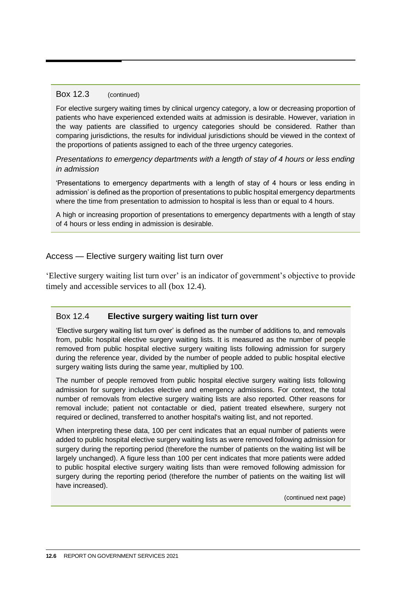#### <span id="page-5-0"></span>Box 12.3 (continued)

For elective surgery waiting times by clinical urgency category, a low or decreasing proportion of patients who have experienced extended waits at admission is desirable. However, variation in the way patients are classified to urgency categories should be considered. Rather than comparing jurisdictions, the results for individual jurisdictions should be viewed in the context of the proportions of patients assigned to each of the three urgency categories.

*Presentations to emergency departments with a length of stay of 4 hours or less ending in admission*

'Presentations to emergency departments with a length of stay of 4 hours or less ending in admission' is defined as the proportion of presentations to public hospital emergency departments where the time from presentation to admission to hospital is less than or equal to 4 hours.

A high or increasing proportion of presentations to emergency departments with a length of stay of 4 hours or less ending in admission is desirable.

#### Access — Elective surgery waiting list turn over

'Elective surgery waiting list turn over' is an indicator of government's objective to provide timely and accessible services to all (box 12.4).

#### Box 12.4 **Elective surgery waiting list turn over**

'Elective surgery waiting list turn over' is defined as the number of additions to, and removals from, public hospital elective surgery waiting lists. It is measured as the number of people removed from public hospital elective surgery waiting lists following admission for surgery during the reference year, divided by the number of people added to public hospital elective surgery waiting lists during the same year, multiplied by 100.

The number of people removed from public hospital elective surgery waiting lists following admission for surgery includes elective and emergency admissions. For context, the total number of removals from elective surgery waiting lists are also reported. Other reasons for removal include; patient not contactable or died, patient treated elsewhere, surgery not required or declined, transferred to another hospital's waiting list, and not reported.

When interpreting these data, 100 per cent indicates that an equal number of patients were added to public hospital elective surgery waiting lists as were removed following admission for surgery during the reporting period (therefore the number of patients on the waiting list will be largely unchanged). A figure less than 100 per cent indicates that more patients were added to public hospital elective surgery waiting lists than were removed following admission for surgery during the reporting period (therefore the number of patients on the waiting list will have increased).

(continued next page)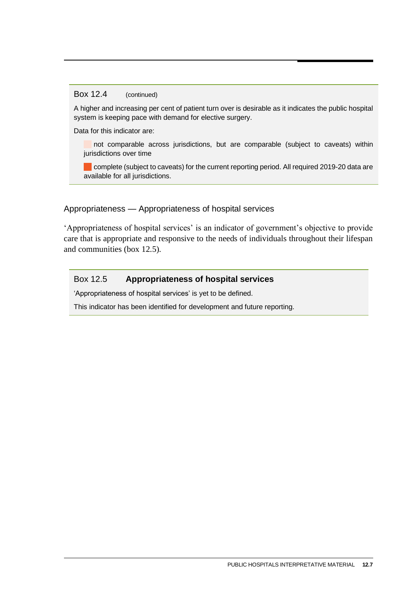#### <span id="page-6-0"></span>Box 12.4 (continued)

A higher and increasing per cent of patient turn over is desirable as it indicates the public hospital system is keeping pace with demand for elective surgery.

Data for this indicator are:

not comparable across jurisdictions, but are comparable (subject to caveats) within jurisdictions over time

complete (subject to caveats) for the current reporting period. All required 2019-20 data are available for all jurisdictions.

#### Appropriateness — Appropriateness of hospital services

'Appropriateness of hospital services' is an indicator of government's objective to provide care that is appropriate and responsive to the needs of individuals throughout their lifespan and communities (box 12.5).

#### Box 12.5 **Appropriateness of hospital services**

'Appropriateness of hospital services' is yet to be defined.

This indicator has been identified for development and future reporting.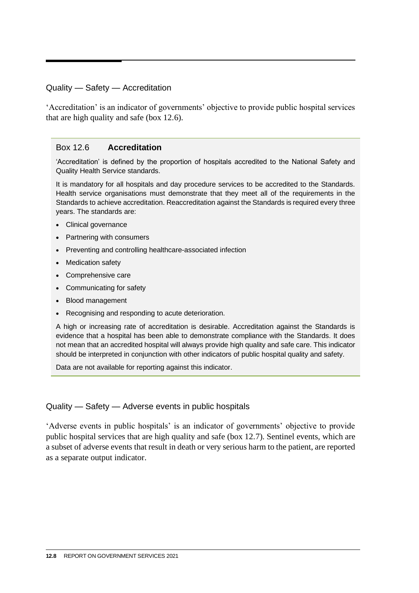#### <span id="page-7-0"></span>Quality — Safety — Accreditation

'Accreditation' is an indicator of governments' objective to provide public hospital services that are high quality and safe (box 12.6).

#### Box 12.6 **Accreditation**

'Accreditation' is defined by the proportion of hospitals accredited to the National Safety and Quality Health Service standards.

It is mandatory for all hospitals and day procedure services to be accredited to the Standards. Health service organisations must demonstrate that they meet all of the requirements in the Standards to achieve accreditation. Reaccreditation against the Standards is required every three years. The standards are:

- Clinical governance
- Partnering with consumers
- Preventing and controlling healthcare-associated infection
- Medication safety
- Comprehensive care
- Communicating for safety
- Blood management
- Recognising and responding to acute deterioration.

A high or increasing rate of accreditation is desirable. Accreditation against the Standards is evidence that a hospital has been able to demonstrate compliance with the Standards. It does not mean that an accredited hospital will always provide high quality and safe care. This indicator should be interpreted in conjunction with other indicators of public hospital quality and safety.

Data are not available for reporting against this indicator.

#### Quality — Safety — Adverse events in public hospitals

'Adverse events in public hospitals' is an indicator of governments' objective to provide public hospital services that are high quality and safe (box 12.7). Sentinel events, which are a subset of adverse events that result in death or very serious harm to the patient, are reported as a separate output indicator.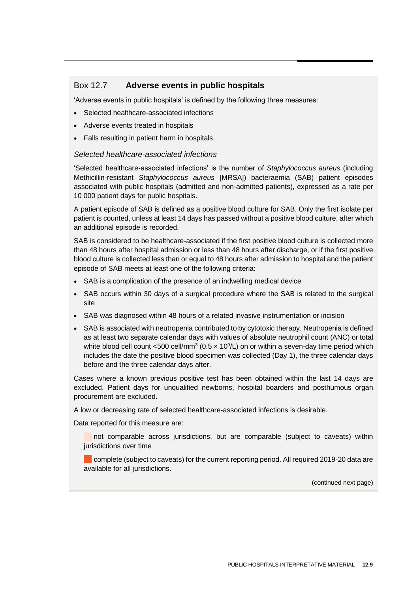#### Box 12.7 **Adverse events in public hospitals**

'Adverse events in public hospitals' is defined by the following three measures:

- Selected healthcare-associated infections
- Adverse events treated in hospitals
- Falls resulting in patient harm in hospitals.

#### *Selected healthcare-associated infections*

'Selected healthcare-associated infections' is the number of *Staphylococcus aureus* (including Methicillin-resistant *Staphylococcus aureus* [MRSA]) bacteraemia (SAB) patient episodes associated with public hospitals (admitted and non-admitted patients), expressed as a rate per 10 000 patient days for public hospitals.

A patient episode of SAB is defined as a positive blood culture for SAB. Only the first isolate per patient is counted, unless at least 14 days has passed without a positive blood culture, after which an additional episode is recorded.

SAB is considered to be healthcare-associated if the first positive blood culture is collected more than 48 hours after hospital admission or less than 48 hours after discharge, or if the first positive blood culture is collected less than or equal to 48 hours after admission to hospital and the patient episode of SAB meets at least one of the following criteria:

- SAB is a complication of the presence of an indwelling medical device
- SAB occurs within 30 days of a surgical procedure where the SAB is related to the surgical site
- SAB was diagnosed within 48 hours of a related invasive instrumentation or incision
- SAB is associated with neutropenia contributed to by cytotoxic therapy. Neutropenia is defined as at least two separate calendar days with values of absolute neutrophil count (ANC) or total white blood cell count <500 cell/mm<sup>3</sup> (0.5  $\times$  10<sup>9</sup>/L) on or within a seven-day time period which includes the date the positive blood specimen was collected (Day 1), the three calendar days before and the three calendar days after.

Cases where a known previous positive test has been obtained within the last 14 days are excluded. Patient days for unqualified newborns, hospital boarders and posthumous organ procurement are excluded.

A low or decreasing rate of selected healthcare-associated infections is desirable.

Data reported for this measure are:

 not comparable across jurisdictions, but are comparable (subject to caveats) within jurisdictions over time

complete (subject to caveats) for the current reporting period. All required 2019-20 data are available for all jurisdictions.

(continued next page)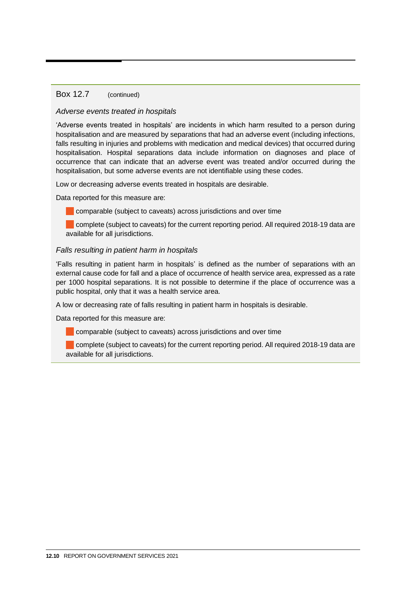#### Box 12.7 (continued)

#### *Adverse events treated in hospitals*

'Adverse events treated in hospitals' are incidents in which harm resulted to a person during hospitalisation and are measured by separations that had an adverse event (including infections, falls resulting in injuries and problems with medication and medical devices) that occurred during hospitalisation. Hospital separations data include information on diagnoses and place of occurrence that can indicate that an adverse event was treated and/or occurred during the hospitalisation, but some adverse events are not identifiable using these codes.

Low or decreasing adverse events treated in hospitals are desirable.

Data reported for this measure are:

comparable (subject to caveats) across jurisdictions and over time

complete (subject to caveats) for the current reporting period. All required 2018-19 data are available for all jurisdictions.

#### *Falls resulting in patient harm in hospitals*

'Falls resulting in patient harm in hospitals' is defined as the number of separations with an external cause code for fall and a place of occurrence of health service area, expressed as a rate per 1000 hospital separations. It is not possible to determine if the place of occurrence was a public hospital, only that it was a health service area.

A low or decreasing rate of falls resulting in patient harm in hospitals is desirable.

Data reported for this measure are:

**Comparable (subject to caveats) across jurisdictions and over time** 

complete (subject to caveats) for the current reporting period. All required 2018-19 data are available for all jurisdictions.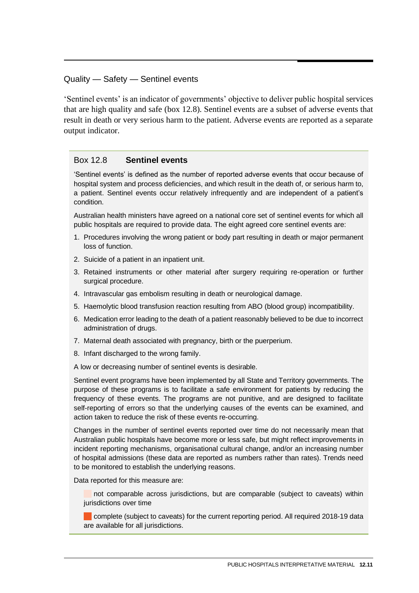#### <span id="page-10-0"></span>Quality — Safety — Sentinel events

'Sentinel events' is an indicator of governments' objective to deliver public hospital services that are high quality and safe (box 12.8). Sentinel events are a subset of adverse events that result in death or very serious harm to the patient. Adverse events are reported as a separate output indicator.

#### Box 12.8 **Sentinel events**

'Sentinel events' is defined as the number of reported adverse events that occur because of hospital system and process deficiencies, and which result in the death of, or serious harm to, a patient. Sentinel events occur relatively infrequently and are independent of a patient's condition.

Australian health ministers have agreed on a national core set of sentinel events for which all public hospitals are required to provide data. The eight agreed core sentinel events are:

- 1. Procedures involving the wrong patient or body part resulting in death or major permanent loss of function.
- 2. Suicide of a patient in an inpatient unit.
- 3. Retained instruments or other material after surgery requiring re-operation or further surgical procedure.
- 4. Intravascular gas embolism resulting in death or neurological damage.
- 5. Haemolytic blood transfusion reaction resulting from ABO (blood group) incompatibility.
- 6. Medication error leading to the death of a patient reasonably believed to be due to incorrect administration of drugs.
- 7. Maternal death associated with pregnancy, birth or the puerperium.
- 8. Infant discharged to the wrong family.

A low or decreasing number of sentinel events is desirable.

Sentinel event programs have been implemented by all State and Territory governments. The purpose of these programs is to facilitate a safe environment for patients by reducing the frequency of these events. The programs are not punitive, and are designed to facilitate self-reporting of errors so that the underlying causes of the events can be examined, and action taken to reduce the risk of these events re-occurring.

Changes in the number of sentinel events reported over time do not necessarily mean that Australian public hospitals have become more or less safe, but might reflect improvements in incident reporting mechanisms, organisational cultural change, and/or an increasing number of hospital admissions (these data are reported as numbers rather than rates). Trends need to be monitored to establish the underlying reasons.

Data reported for this measure are:

not comparable across jurisdictions, but are comparable (subject to caveats) within jurisdictions over time

complete (subject to caveats) for the current reporting period. All required 2018-19 data are available for all jurisdictions.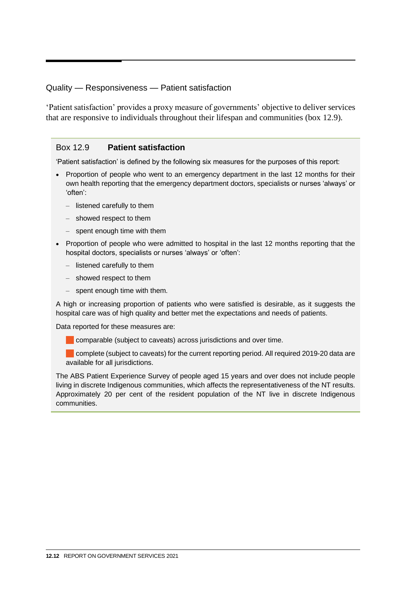#### <span id="page-11-0"></span>Quality — Responsiveness — Patient satisfaction

'Patient satisfaction' provides a proxy measure of governments' objective to deliver services that are responsive to individuals throughout their lifespan and communities (box 12.9).

#### Box 12.9 **Patient satisfaction**

'Patient satisfaction' is defined by the following six measures for the purposes of this report:

- Proportion of people who went to an emergency department in the last 12 months for their own health reporting that the emergency department doctors, specialists or nurses 'always' or 'often':
	- listened carefully to them
	- showed respect to them
	- spent enough time with them
- Proportion of people who were admitted to hospital in the last 12 months reporting that the hospital doctors, specialists or nurses 'always' or 'often':
	- listened carefully to them
	- showed respect to them
	- spent enough time with them.

A high or increasing proportion of patients who were satisfied is desirable, as it suggests the hospital care was of high quality and better met the expectations and needs of patients.

Data reported for these measures are:

comparable (subject to caveats) across jurisdictions and over time.

complete (subject to caveats) for the current reporting period. All required 2019-20 data are available for all jurisdictions.

The ABS Patient Experience Survey of people aged 15 years and over does not include people living in discrete Indigenous communities, which affects the representativeness of the NT results. Approximately 20 per cent of the resident population of the NT live in discrete Indigenous communities.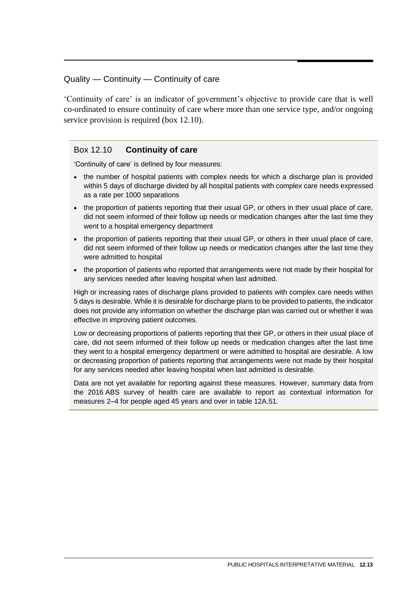#### <span id="page-12-0"></span>Quality — Continuity — Continuity of care

'Continuity of care' is an indicator of government's objective to provide care that is well co-ordinated to ensure continuity of care where more than one service type, and/or ongoing service provision is required (box 12.10).

#### Box 12.10 **Continuity of care**

'Continuity of care' is defined by four measures:

- the number of hospital patients with complex needs for which a discharge plan is provided within 5 days of discharge divided by all hospital patients with complex care needs expressed as a rate per 1000 separations
- the proportion of patients reporting that their usual GP, or others in their usual place of care, did not seem informed of their follow up needs or medication changes after the last time they went to a hospital emergency department
- the proportion of patients reporting that their usual GP, or others in their usual place of care, did not seem informed of their follow up needs or medication changes after the last time they were admitted to hospital
- the proportion of patients who reported that arrangements were not made by their hospital for any services needed after leaving hospital when last admitted.

High or increasing rates of discharge plans provided to patients with complex care needs within 5 days is desirable. While it is desirable for discharge plans to be provided to patients, the indicator does not provide any information on whether the discharge plan was carried out or whether it was effective in improving patient outcomes.

Low or decreasing proportions of patients reporting that their GP, or others in their usual place of care, did not seem informed of their follow up needs or medication changes after the last time they went to a hospital emergency department or were admitted to hospital are desirable. A low or decreasing proportion of patients reporting that arrangements were not made by their hospital for any services needed after leaving hospital when last admitted is desirable.

Data are not yet available for reporting against these measures. However, summary data from the 2016 ABS survey of health care are available to report as contextual information for measures 2–4 for people aged 45 years and over in table 12A.51.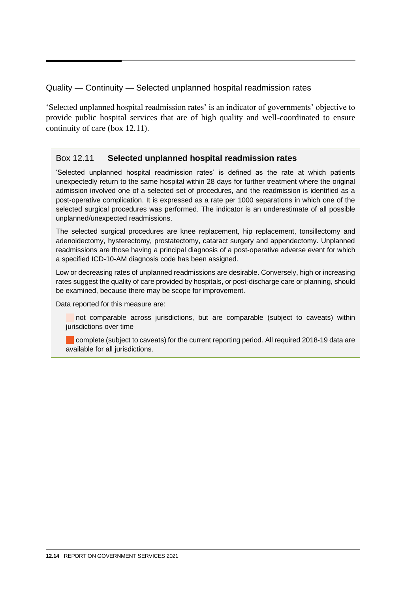<span id="page-13-0"></span>Quality — Continuity — Selected unplanned hospital readmission rates

'Selected unplanned hospital readmission rates' is an indicator of governments' objective to provide public hospital services that are of high quality and well-coordinated to ensure continuity of care (box 12.11).

#### Box 12.11 **Selected unplanned hospital readmission rates**

'Selected unplanned hospital readmission rates' is defined as the rate at which patients unexpectedly return to the same hospital within 28 days for further treatment where the original admission involved one of a selected set of procedures, and the readmission is identified as a post-operative complication. It is expressed as a rate per 1000 separations in which one of the selected surgical procedures was performed. The indicator is an underestimate of all possible unplanned/unexpected readmissions.

The selected surgical procedures are knee replacement, hip replacement, tonsillectomy and adenoidectomy, hysterectomy, prostatectomy, cataract surgery and appendectomy. Unplanned readmissions are those having a principal diagnosis of a post-operative adverse event for which a specified ICD-10-AM diagnosis code has been assigned.

Low or decreasing rates of unplanned readmissions are desirable. Conversely, high or increasing rates suggest the quality of care provided by hospitals, or post-discharge care or planning, should be examined, because there may be scope for improvement.

Data reported for this measure are:

not comparable across jurisdictions, but are comparable (subject to caveats) within jurisdictions over time

complete (subject to caveats) for the current reporting period. All required 2018-19 data are available for all jurisdictions.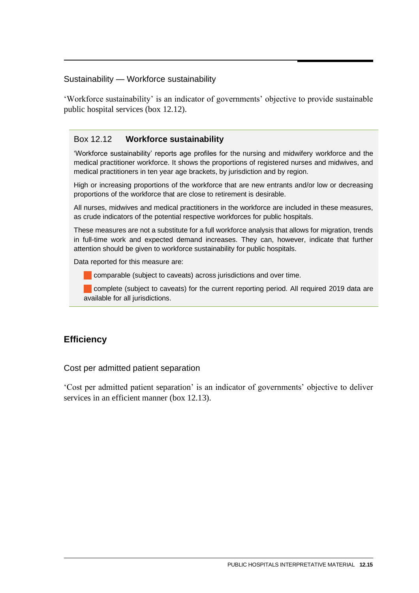#### <span id="page-14-0"></span>Sustainability — Workforce sustainability

'Workforce sustainability' is an indicator of governments' objective to provide sustainable public hospital services (box 12.12).

#### Box 12.12 **Workforce sustainability**

'Workforce sustainability' reports age profiles for the nursing and midwifery workforce and the medical practitioner workforce. It shows the proportions of registered nurses and midwives, and medical practitioners in ten year age brackets, by jurisdiction and by region.

High or increasing proportions of the workforce that are new entrants and/or low or decreasing proportions of the workforce that are close to retirement is desirable.

All nurses, midwives and medical practitioners in the workforce are included in these measures, as crude indicators of the potential respective workforces for public hospitals.

These measures are not a substitute for a full workforce analysis that allows for migration, trends in full-time work and expected demand increases. They can, however, indicate that further attention should be given to workforce sustainability for public hospitals.

Data reported for this measure are:

**Comparable (subject to caveats) across jurisdictions and over time.** 

complete (subject to caveats) for the current reporting period. All required 2019 data are available for all jurisdictions.

### **Efficiency**

#### Cost per admitted patient separation

'Cost per admitted patient separation' is an indicator of governments' objective to deliver services in an efficient manner (box 12.13).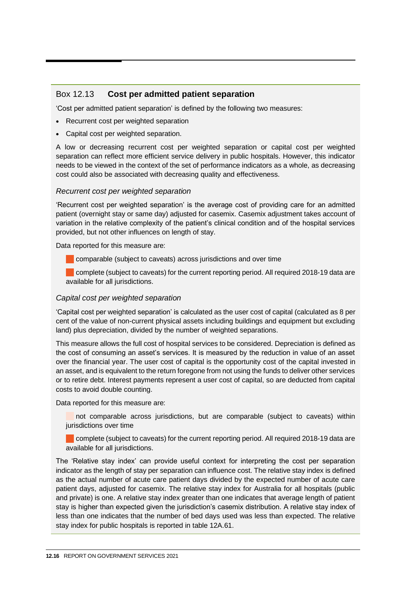#### Box 12.13 **Cost per admitted patient separation**

'Cost per admitted patient separation' is defined by the following two measures:

- Recurrent cost per weighted separation
- Capital cost per weighted separation.

A low or decreasing recurrent cost per weighted separation or capital cost per weighted separation can reflect more efficient service delivery in public hospitals. However, this indicator needs to be viewed in the context of the set of performance indicators as a whole, as decreasing cost could also be associated with decreasing quality and effectiveness.

#### *Recurrent cost per weighted separation*

'Recurrent cost per weighted separation' is the average cost of providing care for an admitted patient (overnight stay or same day) adjusted for casemix. Casemix adjustment takes account of variation in the relative complexity of the patient's clinical condition and of the hospital services provided, but not other influences on length of stay.

Data reported for this measure are:

comparable (subject to caveats) across jurisdictions and over time

complete (subject to caveats) for the current reporting period. All required 2018-19 data are available for all jurisdictions.

#### *Capital cost per weighted separation*

'Capital cost per weighted separation' is calculated as the user cost of capital (calculated as 8 per cent of the value of non-current physical assets including buildings and equipment but excluding land) plus depreciation, divided by the number of weighted separations.

This measure allows the full cost of hospital services to be considered. Depreciation is defined as the cost of consuming an asset's services. It is measured by the reduction in value of an asset over the financial year. The user cost of capital is the opportunity cost of the capital invested in an asset, and is equivalent to the return foregone from not using the funds to deliver other services or to retire debt. Interest payments represent a user cost of capital, so are deducted from capital costs to avoid double counting.

Data reported for this measure are:

 not comparable across jurisdictions, but are comparable (subject to caveats) within jurisdictions over time

 complete (subject to caveats) for the current reporting period. All required 2018-19 data are available for all jurisdictions.

The 'Relative stay index' can provide useful context for interpreting the cost per separation indicator as the length of stay per separation can influence cost. The relative stay index is defined as the actual number of acute care patient days divided by the expected number of acute care patient days, adjusted for casemix. The relative stay index for Australia for all hospitals (public and private) is one. A relative stay index greater than one indicates that average length of patient stay is higher than expected given the jurisdiction's casemix distribution. A relative stay index of less than one indicates that the number of bed days used was less than expected. The relative stay index for public hospitals is reported in table 12A.61.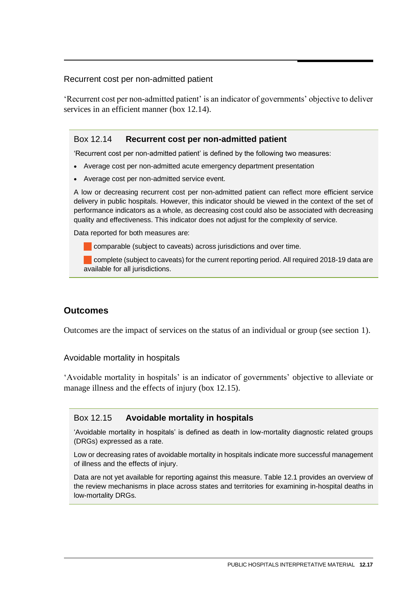#### <span id="page-16-0"></span>Recurrent cost per non-admitted patient

'Recurrent cost per non-admitted patient' is an indicator of governments' objective to deliver services in an efficient manner (box 12.14).

#### Box 12.14 **Recurrent cost per non-admitted patient**

'Recurrent cost per non-admitted patient' is defined by the following two measures:

- Average cost per non-admitted acute emergency department presentation
- Average cost per non-admitted service event.

A low or decreasing recurrent cost per non-admitted patient can reflect more efficient service delivery in public hospitals. However, this indicator should be viewed in the context of the set of performance indicators as a whole, as decreasing cost could also be associated with decreasing quality and effectiveness. This indicator does not adjust for the complexity of service.

Data reported for both measures are:

comparable (subject to caveats) across jurisdictions and over time.

complete (subject to caveats) for the current reporting period. All required 2018-19 data are available for all jurisdictions.

#### **Outcomes**

Outcomes are the impact of services on the status of an individual or group (see section 1).

Avoidable mortality in hospitals

'Avoidable mortality in hospitals' is an indicator of governments' objective to alleviate or manage illness and the effects of injury (box 12.15).

#### Box 12.15 **Avoidable mortality in hospitals**

'Avoidable mortality in hospitals' is defined as death in low-mortality diagnostic related groups (DRGs) expressed as a rate.

Low or decreasing rates of avoidable mortality in hospitals indicate more successful management of illness and the effects of injury.

Data are not yet available for reporting against this measure. Table 12.1 provides an overview of the review mechanisms in place across states and territories for examining in-hospital deaths in low-mortality DRGs.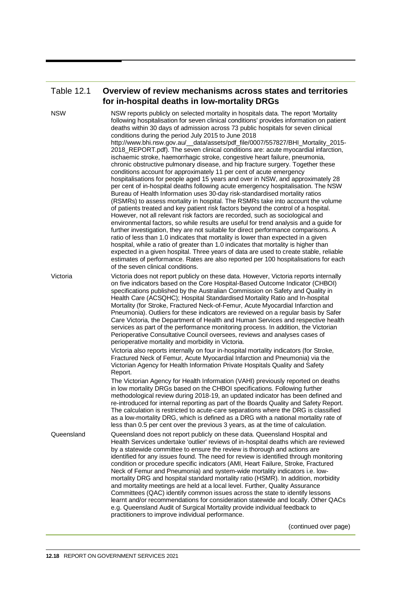#### Table 12.1 **Overview of review mechanisms across states and territories for in-hospital deaths in low-mortality DRGs**

NSW NSW reports publicly on selected mortality in hospitals data. The report 'Mortality following hospitalisation for seven clinical conditions' provides information on patient deaths within 30 days of admission across 73 public hospitals for seven clinical conditions during the period July 2015 to June 2018 http://www.bhi.nsw.gov.au/\_\_data/assets/pdf\_file/0007/557827/BHI\_Mortality\_2015- 2018\_REPORT.pdf). The seven clinical conditions are: acute myocardial infarction, ischaemic stroke, haemorrhagic stroke, congestive heart failure, pneumonia, chronic obstructive pulmonary disease, and hip fracture surgery. Together these conditions account for approximately 11 per cent of acute emergency hospitalisations for people aged 15 years and over in NSW, and approximately 28 per cent of in-hospital deaths following acute emergency hospitalisation. The NSW Bureau of Health Information uses 30-day risk-standardised mortality ratios (RSMRs) to assess mortality in hospital. The RSMRs take into account the volume of patients treated and key patient risk factors beyond the control of a hospital. However, not all relevant risk factors are recorded, such as sociological and environmental factors, so while results are useful for trend analysis and a guide for further investigation, they are not suitable for direct performance comparisons. A ratio of less than 1.0 indicates that mortality is lower than expected in a given hospital, while a ratio of greater than 1.0 indicates that mortality is higher than expected in a given hospital. Three years of data are used to create stable, reliable estimates of performance. Rates are also reported per 100 hospitalisations for each of the seven clinical conditions. Victoria Victoria does not report publicly on these data. However, Victoria reports internally on five indicators based on the Core Hospital-Based Outcome Indicator (CHBOI) specifications published by the Australian Commission on Safety and Quality in Health Care (ACSQHC); Hospital Standardised Mortality Ratio and In-hospital Mortality (for Stroke, Fractured Neck-of-Femur, Acute Myocardial Infarction and Pneumonia). Outliers for these indicators are reviewed on a regular basis by Safer Care Victoria, the Department of Health and Human Services and respective health services as part of the performance monitoring process. In addition, the Victorian Perioperative Consultative Council oversees, reviews and analyses cases of perioperative mortality and morbidity in Victoria. Victoria also reports internally on four in-hospital mortality indicators (for Stroke, Fractured Neck of Femur, Acute Myocardial Infarction and Pneumonia) via the Victorian Agency for Health Information Private Hospitals Quality and Safety Report. The Victorian Agency for Health Information (VAHI) previously reported on deaths in low mortality DRGs based on the CHBOI specifications. Following further methodological review during 2018-19, an updated indicator has been defined and re-introduced for internal reporting as part of the Boards Quality and Safety Report. The calculation is restricted to acute-care separations where the DRG is classified as a low-mortality DRG, which is defined as a DRG with a national mortality rate of less than 0.5 per cent over the previous 3 years, as at the time of calculation. Queensland Queensland does not report publicly on these data. Queensland Hospital and Health Services undertake 'outlier' reviews of in-hospital deaths which are reviewed by a statewide committee to ensure the review is thorough and actions are identified for any issues found. The need for review is identified through monitoring condition or procedure specific indicators (AMI, Heart Failure, Stroke, Fractured Neck of Femur and Pneumonia) and system-wide mortality indicators i.e. lowmortality DRG and hospital standard mortality ratio (HSMR). In addition, morbidity and mortality meetings are held at a local level. Further, Quality Assurance Committees (QAC) identify common issues across the state to identify lessons learnt and/or recommendations for consideration statewide and locally. Other QACs e.g. Queensland Audit of Surgical Mortality provide individual feedback to practitioners to improve individual performance.

(continued over page)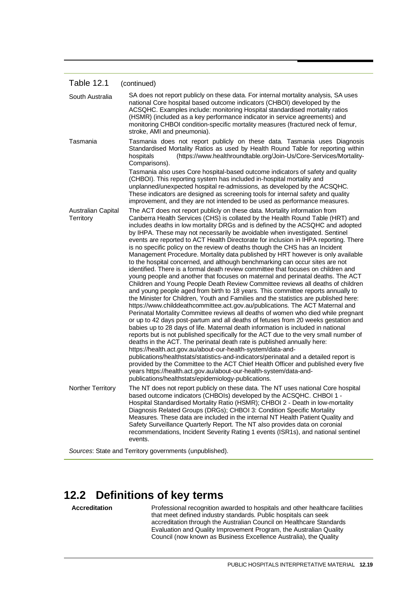#### <span id="page-18-0"></span>Table 12.1 (continued)

| South Australia                 | SA does not report publicly on these data. For internal mortality analysis, SA uses<br>national Core hospital based outcome indicators (CHBOI) developed by the<br>ACSQHC. Examples include: monitoring Hospital standardised mortality ratios<br>(HSMR) (included as a key performance indicator in service agreements) and<br>monitoring CHBOI condition-specific mortality measures (fractured neck of femur,<br>stroke, AMI and pneumonia).                                                                                                                                                                                                                                                                                                                                                                                                                                                                                                                                                                                                                                                                                                                                                                                                                                                                                                                                                                                                                                                                                                                                                                                                                                                                                                                                                                                                                                                                                                                                                               |
|---------------------------------|---------------------------------------------------------------------------------------------------------------------------------------------------------------------------------------------------------------------------------------------------------------------------------------------------------------------------------------------------------------------------------------------------------------------------------------------------------------------------------------------------------------------------------------------------------------------------------------------------------------------------------------------------------------------------------------------------------------------------------------------------------------------------------------------------------------------------------------------------------------------------------------------------------------------------------------------------------------------------------------------------------------------------------------------------------------------------------------------------------------------------------------------------------------------------------------------------------------------------------------------------------------------------------------------------------------------------------------------------------------------------------------------------------------------------------------------------------------------------------------------------------------------------------------------------------------------------------------------------------------------------------------------------------------------------------------------------------------------------------------------------------------------------------------------------------------------------------------------------------------------------------------------------------------------------------------------------------------------------------------------------------------|
| Tasmania                        | Tasmania does not report publicly on these data. Tasmania uses Diagnosis<br>Standardised Mortality Ratios as used by Health Round Table for reporting within<br>(https://www.healthroundtable.org/Join-Us/Core-Services/Mortality-<br>hospitals<br>Comparisons).                                                                                                                                                                                                                                                                                                                                                                                                                                                                                                                                                                                                                                                                                                                                                                                                                                                                                                                                                                                                                                                                                                                                                                                                                                                                                                                                                                                                                                                                                                                                                                                                                                                                                                                                              |
|                                 | Tasmania also uses Core hospital-based outcome indicators of safety and quality<br>(CHBOI). This reporting system has included in-hospital mortality and<br>unplanned/unexpected hospital re-admissions, as developed by the ACSQHC.<br>These indicators are designed as screening tools for internal safety and quality<br>improvement, and they are not intended to be used as performance measures.                                                                                                                                                                                                                                                                                                                                                                                                                                                                                                                                                                                                                                                                                                                                                                                                                                                                                                                                                                                                                                                                                                                                                                                                                                                                                                                                                                                                                                                                                                                                                                                                        |
| Australian Capital<br>Territory | The ACT does not report publicly on these data. Mortality information from<br>Canberra Health Services (CHS) is collated by the Health Round Table (HRT) and<br>includes deaths in low mortality DRGs and is defined by the ACSQHC and adopted<br>by IHPA. These may not necessarily be avoidable when investigated. Sentinel<br>events are reported to ACT Health Directorate for inclusion in IHPA reporting. There<br>is no specific policy on the review of deaths though the CHS has an Incident<br>Management Procedure. Mortality data published by HRT however is only available<br>to the hospital concerned, and although benchmarking can occur sites are not<br>identified. There is a formal death review committee that focuses on children and<br>young people and another that focuses on maternal and perinatal deaths. The ACT<br>Children and Young People Death Review Committee reviews all deaths of children<br>and young people aged from birth to 18 years. This committee reports annually to<br>the Minister for Children, Youth and Families and the statistics are published here:<br>https://www.childdeathcommittee.act.gov.au/publications. The ACT Maternal and<br>Perinatal Mortality Committee reviews all deaths of women who died while pregnant<br>or up to 42 days post-partum and all deaths of fetuses from 20 weeks gestation and<br>babies up to 28 days of life. Maternal death information is included in national<br>reports but is not published specifically for the ACT due to the very small number of<br>deaths in the ACT. The perinatal death rate is published annually here:<br>https://health.act.gov.au/about-our-health-system/data-and-<br>publications/healthstats/statistics-and-indicators/perinatal and a detailed report is<br>provided by the Committee to the ACT Chief Health Officer and published every five<br>years https://health.act.gov.au/about-our-health-system/data-and-<br>publications/healthstats/epidemiology-publications. |
| Norther Territory               | The NT does not report publicly on these data. The NT uses national Core hospital<br>based outcome indicators (CHBOIs) developed by the ACSQHC. CHBOI 1 -<br>Hospital Standardised Mortality Ratio (HSMR); CHBOI 2 - Death in low-mortality<br>Diagnosis Related Groups (DRGs); CHBOI 3: Condition Specific Mortality<br>Measures. These data are included in the internal NT Health Patient Quality and<br>Safety Surveillance Quarterly Report. The NT also provides data on coronial<br>recommendations, Incident Severity Rating 1 events (ISR1s), and national sentinel<br>events.                                                                                                                                                                                                                                                                                                                                                                                                                                                                                                                                                                                                                                                                                                                                                                                                                                                                                                                                                                                                                                                                                                                                                                                                                                                                                                                                                                                                                       |

*Sources*: State and Territory governments (unpublished).

# **12.2 Definitions of key terms**

Accreditation **Professional recognition awarded to hospitals and other healthcare facilities** that meet defined industry standards. Public hospitals can seek accreditation through the Australian Council on Healthcare Standards Evaluation and Quality Improvement Program, the Australian Quality Council (now known as Business Excellence Australia), the Quality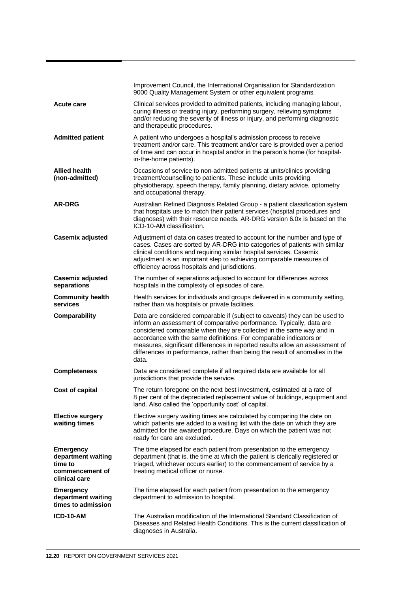|                                                                                       | Improvement Council, the International Organisation for Standardization<br>9000 Quality Management System or other equivalent programs.                                                                                                                                                                                                                                                                                                                                   |
|---------------------------------------------------------------------------------------|---------------------------------------------------------------------------------------------------------------------------------------------------------------------------------------------------------------------------------------------------------------------------------------------------------------------------------------------------------------------------------------------------------------------------------------------------------------------------|
| Acute care                                                                            | Clinical services provided to admitted patients, including managing labour,<br>curing illness or treating injury, performing surgery, relieving symptoms<br>and/or reducing the severity of illness or injury, and performing diagnostic<br>and therapeutic procedures.                                                                                                                                                                                                   |
| <b>Admitted patient</b>                                                               | A patient who undergoes a hospital's admission process to receive<br>treatment and/or care. This treatment and/or care is provided over a period<br>of time and can occur in hospital and/or in the person's home (for hospital-<br>in-the-home patients).                                                                                                                                                                                                                |
| <b>Allied health</b><br>(non-admitted)                                                | Occasions of service to non-admitted patients at units/clinics providing<br>treatment/counselling to patients. These include units providing<br>physiotherapy, speech therapy, family planning, dietary advice, optometry<br>and occupational therapy.                                                                                                                                                                                                                    |
| <b>AR-DRG</b>                                                                         | Australian Refined Diagnosis Related Group - a patient classification system<br>that hospitals use to match their patient services (hospital procedures and<br>diagnoses) with their resource needs. AR-DRG version 6.0x is based on the<br>ICD-10-AM classification.                                                                                                                                                                                                     |
| Casemix adjusted                                                                      | Adjustment of data on cases treated to account for the number and type of<br>cases. Cases are sorted by AR-DRG into categories of patients with similar<br>clinical conditions and requiring similar hospital services. Casemix<br>adjustment is an important step to achieving comparable measures of<br>efficiency across hospitals and jurisdictions.                                                                                                                  |
| <b>Casemix adjusted</b><br>separations                                                | The number of separations adjusted to account for differences across<br>hospitals in the complexity of episodes of care.                                                                                                                                                                                                                                                                                                                                                  |
| <b>Community health</b><br>services                                                   | Health services for individuals and groups delivered in a community setting,<br>rather than via hospitals or private facilities.                                                                                                                                                                                                                                                                                                                                          |
| Comparability                                                                         | Data are considered comparable if (subject to caveats) they can be used to<br>inform an assessment of comparative performance. Typically, data are<br>considered comparable when they are collected in the same way and in<br>accordance with the same definitions. For comparable indicators or<br>measures, significant differences in reported results allow an assessment of<br>differences in performance, rather than being the result of anomalies in the<br>data. |
| <b>Completeness</b>                                                                   | Data are considered complete if all required data are available for all<br>jurisdictions that provide the service.                                                                                                                                                                                                                                                                                                                                                        |
| Cost of capital                                                                       | The return foregone on the next best investment, estimated at a rate of<br>8 per cent of the depreciated replacement value of buildings, equipment and<br>land. Also called the 'opportunity cost' of capital.                                                                                                                                                                                                                                                            |
| <b>Elective surgery</b><br>waiting times                                              | Elective surgery waiting times are calculated by comparing the date on<br>which patients are added to a waiting list with the date on which they are<br>admitted for the awaited procedure. Days on which the patient was not<br>ready for care are excluded.                                                                                                                                                                                                             |
| <b>Emergency</b><br>department waiting<br>time to<br>commencement of<br>clinical care | The time elapsed for each patient from presentation to the emergency<br>department (that is, the time at which the patient is clerically registered or<br>triaged, whichever occurs earlier) to the commencement of service by a<br>treating medical officer or nurse.                                                                                                                                                                                                    |
| <b>Emergency</b><br>department waiting<br>times to admission                          | The time elapsed for each patient from presentation to the emergency<br>department to admission to hospital.                                                                                                                                                                                                                                                                                                                                                              |
| ICD-10-AM                                                                             | The Australian modification of the International Standard Classification of<br>Diseases and Related Health Conditions. This is the current classification of<br>diagnoses in Australia.                                                                                                                                                                                                                                                                                   |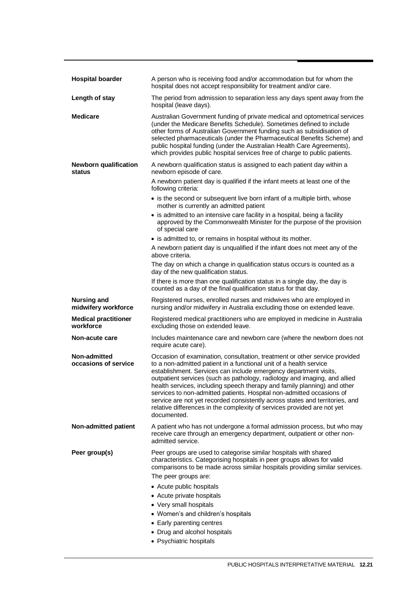| <b>Hospital boarder</b>                   | A person who is receiving food and/or accommodation but for whom the<br>hospital does not accept responsibility for treatment and/or care.                                                                                                                                                                                                                                                                                                                                                                                                                                                                                       |
|-------------------------------------------|----------------------------------------------------------------------------------------------------------------------------------------------------------------------------------------------------------------------------------------------------------------------------------------------------------------------------------------------------------------------------------------------------------------------------------------------------------------------------------------------------------------------------------------------------------------------------------------------------------------------------------|
| Length of stay                            | The period from admission to separation less any days spent away from the<br>hospital (leave days).                                                                                                                                                                                                                                                                                                                                                                                                                                                                                                                              |
| <b>Medicare</b>                           | Australian Government funding of private medical and optometrical services<br>(under the Medicare Benefits Schedule). Sometimes defined to include<br>other forms of Australian Government funding such as subsidisation of<br>selected pharmaceuticals (under the Pharmaceutical Benefits Scheme) and<br>public hospital funding (under the Australian Health Care Agreements),<br>which provides public hospital services free of charge to public patients.                                                                                                                                                                   |
| <b>Newborn qualification</b><br>status    | A newborn qualification status is assigned to each patient day within a<br>newborn episode of care.                                                                                                                                                                                                                                                                                                                                                                                                                                                                                                                              |
|                                           | A newborn patient day is qualified if the infant meets at least one of the<br>following criteria:                                                                                                                                                                                                                                                                                                                                                                                                                                                                                                                                |
|                                           | • is the second or subsequent live born infant of a multiple birth, whose<br>mother is currently an admitted patient                                                                                                                                                                                                                                                                                                                                                                                                                                                                                                             |
|                                           | • is admitted to an intensive care facility in a hospital, being a facility<br>approved by the Commonwealth Minister for the purpose of the provision<br>of special care                                                                                                                                                                                                                                                                                                                                                                                                                                                         |
|                                           | • is admitted to, or remains in hospital without its mother.                                                                                                                                                                                                                                                                                                                                                                                                                                                                                                                                                                     |
|                                           | A newborn patient day is unqualified if the infant does not meet any of the<br>above criteria.                                                                                                                                                                                                                                                                                                                                                                                                                                                                                                                                   |
|                                           | The day on which a change in qualification status occurs is counted as a<br>day of the new qualification status.                                                                                                                                                                                                                                                                                                                                                                                                                                                                                                                 |
|                                           | If there is more than one qualification status in a single day, the day is<br>counted as a day of the final qualification status for that day.                                                                                                                                                                                                                                                                                                                                                                                                                                                                                   |
| <b>Nursing and</b><br>midwifery workforce | Registered nurses, enrolled nurses and midwives who are employed in<br>nursing and/or midwifery in Australia excluding those on extended leave.                                                                                                                                                                                                                                                                                                                                                                                                                                                                                  |
| <b>Medical practitioner</b><br>workforce  | Registered medical practitioners who are employed in medicine in Australia<br>excluding those on extended leave.                                                                                                                                                                                                                                                                                                                                                                                                                                                                                                                 |
| Non-acute care                            | Includes maintenance care and newborn care (where the newborn does not<br>require acute care).                                                                                                                                                                                                                                                                                                                                                                                                                                                                                                                                   |
| Non-admitted<br>occasions of service      | Occasion of examination, consultation, treatment or other service provided<br>to a non-admitted patient in a functional unit of a health service<br>establishment. Services can include emergency department visits,<br>outpatient services (such as pathology, radiology and imaging, and allied<br>health services, including speech therapy and family planning) and other<br>services to non-admitted patients. Hospital non-admitted occasions of<br>service are not yet recorded consistently across states and territories, and<br>relative differences in the complexity of services provided are not yet<br>documented. |
| Non-admitted patient                      | A patient who has not undergone a formal admission process, but who may<br>receive care through an emergency department, outpatient or other non-<br>admitted service.                                                                                                                                                                                                                                                                                                                                                                                                                                                           |
| Peer group(s)                             | Peer groups are used to categorise similar hospitals with shared<br>characteristics. Categorising hospitals in peer groups allows for valid<br>comparisons to be made across similar hospitals providing similar services.<br>The peer groups are:                                                                                                                                                                                                                                                                                                                                                                               |
|                                           | • Acute public hospitals                                                                                                                                                                                                                                                                                                                                                                                                                                                                                                                                                                                                         |
|                                           |                                                                                                                                                                                                                                                                                                                                                                                                                                                                                                                                                                                                                                  |
|                                           | • Acute private hospitals                                                                                                                                                                                                                                                                                                                                                                                                                                                                                                                                                                                                        |
|                                           | • Very small hospitals                                                                                                                                                                                                                                                                                                                                                                                                                                                                                                                                                                                                           |
|                                           | • Women's and children's hospitals                                                                                                                                                                                                                                                                                                                                                                                                                                                                                                                                                                                               |
|                                           | • Early parenting centres                                                                                                                                                                                                                                                                                                                                                                                                                                                                                                                                                                                                        |
|                                           | • Drug and alcohol hospitals                                                                                                                                                                                                                                                                                                                                                                                                                                                                                                                                                                                                     |
|                                           | • Psychiatric hospitals                                                                                                                                                                                                                                                                                                                                                                                                                                                                                                                                                                                                          |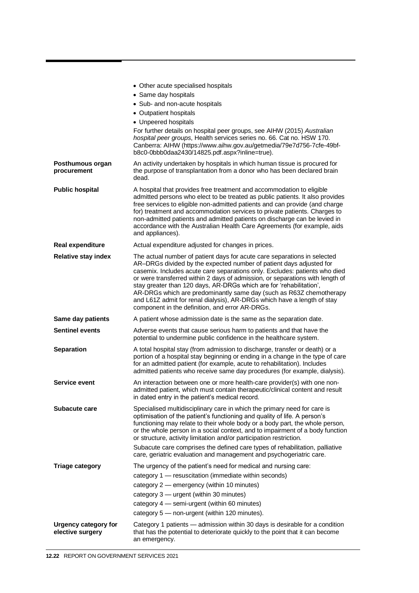|                                                 | • Other acute specialised hospitals                                                                                                                                                                                                                                                                                                                                                                                                                                                                                                                                                        |
|-------------------------------------------------|--------------------------------------------------------------------------------------------------------------------------------------------------------------------------------------------------------------------------------------------------------------------------------------------------------------------------------------------------------------------------------------------------------------------------------------------------------------------------------------------------------------------------------------------------------------------------------------------|
|                                                 | • Same day hospitals                                                                                                                                                                                                                                                                                                                                                                                                                                                                                                                                                                       |
|                                                 | • Sub- and non-acute hospitals                                                                                                                                                                                                                                                                                                                                                                                                                                                                                                                                                             |
|                                                 | • Outpatient hospitals                                                                                                                                                                                                                                                                                                                                                                                                                                                                                                                                                                     |
|                                                 | • Unpeered hospitals<br>For further details on hospital peer groups, see AIHW (2015) Australian                                                                                                                                                                                                                                                                                                                                                                                                                                                                                            |
|                                                 | hospital peer groups, Health services series no. 66. Cat no. HSW 170.<br>Canberra: AIHW (https://www.aihw.gov.au/getmedia/79e7d756-7cfe-49bf-<br>b8c0-0bbb0daa2430/14825.pdf.aspx?inline=true).                                                                                                                                                                                                                                                                                                                                                                                            |
| Posthumous organ<br>procurement                 | An activity undertaken by hospitals in which human tissue is procured for<br>the purpose of transplantation from a donor who has been declared brain<br>dead.                                                                                                                                                                                                                                                                                                                                                                                                                              |
| <b>Public hospital</b>                          | A hospital that provides free treatment and accommodation to eligible<br>admitted persons who elect to be treated as public patients. It also provides<br>free services to eligible non-admitted patients and can provide (and charge<br>for) treatment and accommodation services to private patients. Charges to<br>non-admitted patients and admitted patients on discharge can be levied in<br>accordance with the Australian Health Care Agreements (for example, aids<br>and appliances).                                                                                            |
| Real expenditure                                | Actual expenditure adjusted for changes in prices.                                                                                                                                                                                                                                                                                                                                                                                                                                                                                                                                         |
| <b>Relative stay index</b>                      | The actual number of patient days for acute care separations in selected<br>AR-DRGs divided by the expected number of patient days adjusted for<br>casemix. Includes acute care separations only. Excludes: patients who died<br>or were transferred within 2 days of admission, or separations with length of<br>stay greater than 120 days, AR-DRGs which are for 'rehabilitation',<br>AR-DRGs which are predominantly same day (such as R63Z chemotherapy<br>and L61Z admit for renal dialysis), AR-DRGs which have a length of stay<br>component in the definition, and error AR-DRGs. |
| Same day patients                               | A patient whose admission date is the same as the separation date.                                                                                                                                                                                                                                                                                                                                                                                                                                                                                                                         |
| <b>Sentinel events</b>                          | Adverse events that cause serious harm to patients and that have the<br>potential to undermine public confidence in the healthcare system.                                                                                                                                                                                                                                                                                                                                                                                                                                                 |
| <b>Separation</b>                               | A total hospital stay (from admission to discharge, transfer or death) or a<br>portion of a hospital stay beginning or ending in a change in the type of care<br>for an admitted patient (for example, acute to rehabilitation). Includes<br>admitted patients who receive same day procedures (for example, dialysis).                                                                                                                                                                                                                                                                    |
| Service event                                   | An interaction between one or more health-care provider(s) with one non-<br>admitted patient, which must contain therapeutic/clinical content and result<br>in dated entry in the patient's medical record.                                                                                                                                                                                                                                                                                                                                                                                |
| Subacute care                                   | Specialised multidisciplinary care in which the primary need for care is<br>optimisation of the patient's functioning and quality of life. A person's<br>functioning may relate to their whole body or a body part, the whole person,<br>or the whole person in a social context, and to impairment of a body function<br>or structure, activity limitation and/or participation restriction.                                                                                                                                                                                              |
|                                                 | Subacute care comprises the defined care types of rehabilitation, palliative<br>care, geriatric evaluation and management and psychogeriatric care.                                                                                                                                                                                                                                                                                                                                                                                                                                        |
| <b>Triage category</b>                          | The urgency of the patient's need for medical and nursing care:                                                                                                                                                                                                                                                                                                                                                                                                                                                                                                                            |
|                                                 | category 1 - resuscitation (immediate within seconds)                                                                                                                                                                                                                                                                                                                                                                                                                                                                                                                                      |
|                                                 | category 2 - emergency (within 10 minutes)                                                                                                                                                                                                                                                                                                                                                                                                                                                                                                                                                 |
|                                                 | category 3 - urgent (within 30 minutes)                                                                                                                                                                                                                                                                                                                                                                                                                                                                                                                                                    |
|                                                 | category 4 - semi-urgent (within 60 minutes)<br>category 5 - non-urgent (within 120 minutes).                                                                                                                                                                                                                                                                                                                                                                                                                                                                                              |
|                                                 |                                                                                                                                                                                                                                                                                                                                                                                                                                                                                                                                                                                            |
| <b>Urgency category for</b><br>elective surgery | Category 1 patients — admission within 30 days is desirable for a condition<br>that has the potential to deteriorate quickly to the point that it can become<br>an emergency.                                                                                                                                                                                                                                                                                                                                                                                                              |